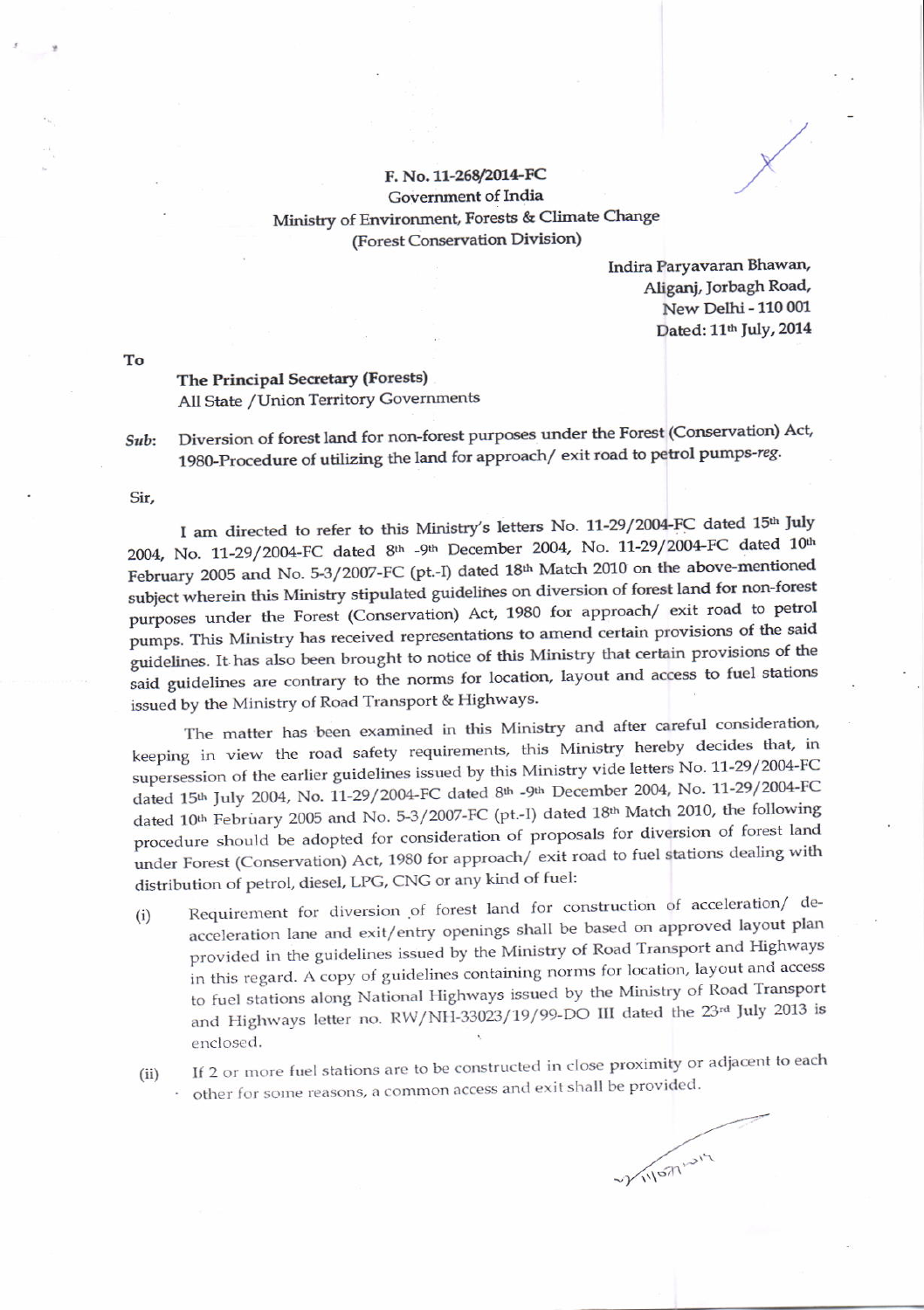## F. No. 11-268/2014-FC Government of India Ministry of Environment, Forests & Climate Change (Forest Conservation Division)

Indira Paryavaran Bhawan, Aliganj, Jorbagh Road, New Delhi - 110 001 Dated: 11th July, 2014

The Principal Secretary (Forests) All State / Union Territory Governments

Diversion of forest land for non-forest purposes under the Forest (Conservation) Act, Sub: 1980-Procedure of utilizing the land for approach/exit road to petrol pumps-reg.

Sir,

I am directed to refer to this Ministry's letters No. 11-29/2004-FC dated 15th July 2004, No. 11-29/2004-FC dated 8th -9th December 2004, No. 11-29/2004-FC dated 10th February 2005 and No. 5-3/2007-FC (pt.-I) dated 18th Match 2010 on the above-mentioned subject wherein this Ministry stipulated guidelines on diversion of forest land for non-forest purposes under the Forest (Conservation) Act, 1980 for approach/ exit road to petrol pumps. This Ministry has received representations to amend certain provisions of the said guidelines. It has also been brought to notice of this Ministry that certain provisions of the said guidelines are contrary to the norms for location, layout and access to fuel stations issued by the Ministry of Road Transport & Highways.

The matter has been examined in this Ministry and after careful consideration, keeping in view the road safety requirements, this Ministry hereby decides that, in supersession of the earlier guidelines issued by this Ministry vide letters No. 11-29/2004-FC dated 15th July 2004, No. 11-29/2004-FC dated 8th -9th December 2004, No. 11-29/2004-FC dated 10<sup>th</sup> February 2005 and No. 5-3/2007-FC (pt.-I) dated 18<sup>th</sup> Match 2010, the following procedure should be adopted for consideration of proposals for diversion of forest land under Forest (Conservation) Act, 1980 for approach/ exit road to fuel stations dealing with distribution of petrol, diesel, LPG, CNG or any kind of fuel:

- Requirement for diversion of forest land for construction of acceleration/ de- $(i)$ acceleration lane and exit/entry openings shall be based on approved layout plan provided in the guidelines issued by the Ministry of Road Transport and Highways in this regard. A copy of guidelines containing norms for location, layout and access to fuel stations along National Highways issued by the Ministry of Road Transport and Highways letter no. RW/NH-33023/19/99-DO III dated the 23rd July 2013 is enclosed.
- If 2 or more fuel stations are to be constructed in close proximity or adjacent to each  $(ii)$ other for some reasons, a common access and exit shall be provided.

VIVIONIUM

To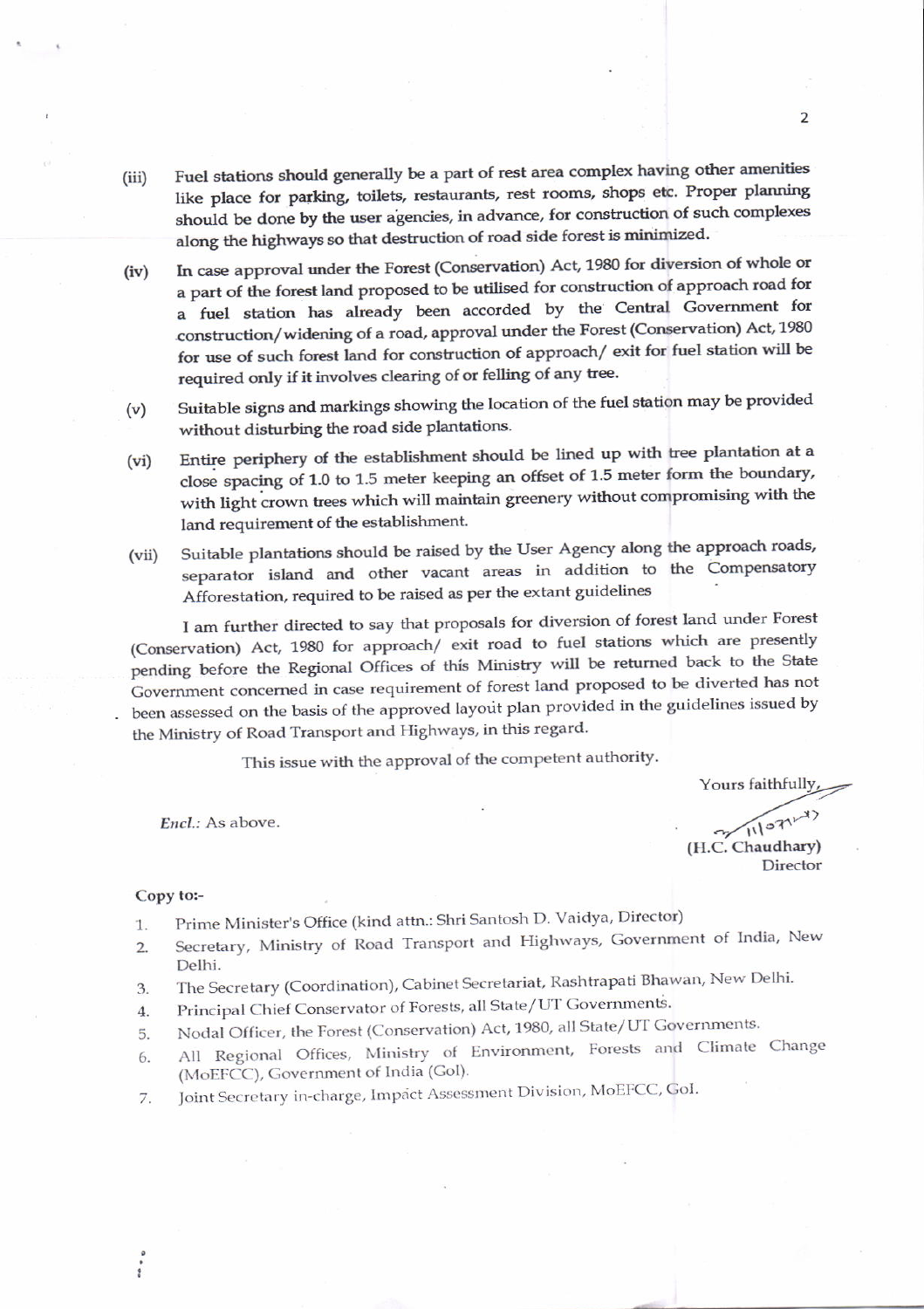- Fuel stations should generally be a part of rest area complex having other amenities  $(iii)$ like place for parking, toilets, restaurants, rest rooms, shops etc. Proper planning should be done by the user agencies, in advance, for construction of such complexes along the highways so that destruction of road side forest is minimized.
- In case approval under the Forest (Conservation) Act, 1980 for diversion of whole or  $(iv)$ a part of the forest land proposed to be utilised for construction of approach road for a fuel station has already been accorded by the Central Government for construction/widening of a road, approval under the Forest (Conservation) Act, 1980 for use of such forest land for construction of approach/ exit for fuel station will be required only if it involves clearing of or felling of any tree.
- Suitable signs and markings showing the location of the fuel station may be provided  $(v)$ without disturbing the road side plantations.
- Entire periphery of the establishment should be lined up with tree plantation at a  $(vi)$ close spacing of 1.0 to 1.5 meter keeping an offset of 1.5 meter form the boundary, with light crown trees which will maintain greenery without compromising with the land requirement of the establishment.
- Suitable plantations should be raised by the User Agency along the approach roads,  $(vii)$ separator island and other vacant areas in addition to the Compensatory Afforestation, required to be raised as per the extant guidelines

I am further directed to say that proposals for diversion of forest land under Forest (Conservation) Act, 1980 for approach/ exit road to fuel stations which are presently pending before the Regional Offices of this Ministry will be returned back to the State Government concerned in case requirement of forest land proposed to be diverted has not been assessed on the basis of the approved layout plan provided in the guidelines issued by the Ministry of Road Transport and Highways, in this regard.

This issue with the approval of the competent authority.

Encl.: As above.

Yours faithfully,

7/11/07/ (H.C. Chaudhary) Director

## Copy to:-

- Prime Minister's Office (kind attn.: Shri Santosh D. Vaidya, Director) 1.
- Secretary, Ministry of Road Transport and Highways, Government of India, New  $2.$ Delhi.
- The Secretary (Coordination), Cabinet Secretariat, Rashtrapati Bhawan, New Delhi. 3.
- Principal Chief Conservator of Forests, all State/UT Governments.  $4.$
- Nodal Officer, the Forest (Conservation) Act, 1980, all State/UT Governments. 5.
- All Regional Offices, Ministry of Environment, Forests and Climate Change 6. (MoEFCC), Government of India (Gol).
- Joint Secretary in-charge, Impact Assessment Division, MoEFCC, GoI. 7.